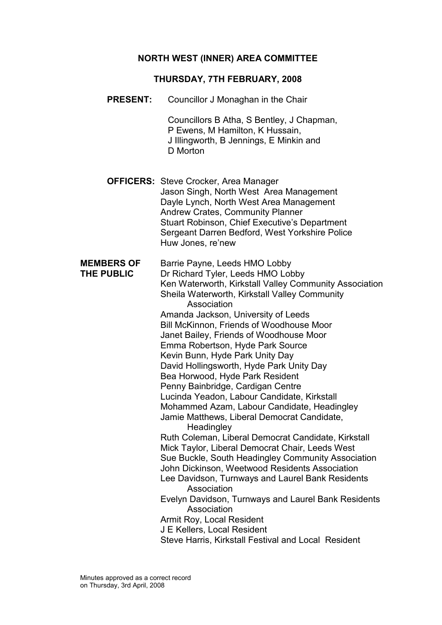### NORTH WEST (INNER) AREA COMMITTEE

#### THURSDAY, 7TH FEBRUARY, 2008

PRESENT: Councillor J Monaghan in the Chair

 Councillors B Atha, S Bentley, J Chapman, P Ewens, M Hamilton, K Hussain, J Illingworth, B Jennings, E Minkin and D Morton

**OFFICERS:** Steve Crocker, Area Manager Jason Singh, North West Area Management Dayle Lynch, North West Area Management Andrew Crates, Community Planner Stuart Robinson, Chief Executive's Department Sergeant Darren Bedford, West Yorkshire Police Huw Jones, re'new

MEMBERS OF Barrie Payne, Leeds HMO Lobby THE PUBLIC Dr Richard Tyler, Leeds HMO Lobby Ken Waterworth, Kirkstall Valley Community Association Sheila Waterworth, Kirkstall Valley Community Association Amanda Jackson, University of Leeds Bill McKinnon, Friends of Woodhouse Moor Janet Bailey, Friends of Woodhouse Moor Emma Robertson, Hyde Park Source Kevin Bunn, Hyde Park Unity Day David Hollingsworth, Hyde Park Unity Day Bea Horwood, Hyde Park Resident Penny Bainbridge, Cardigan Centre Lucinda Yeadon, Labour Candidate, Kirkstall Mohammed Azam, Labour Candidate, Headingley Jamie Matthews, Liberal Democrat Candidate, **Headingley**  Ruth Coleman, Liberal Democrat Candidate, Kirkstall Mick Taylor, Liberal Democrat Chair, Leeds West Sue Buckle, South Headingley Community Association John Dickinson, Weetwood Residents Association Lee Davidson, Turnways and Laurel Bank Residents Association Evelyn Davidson, Turnways and Laurel Bank Residents Association Armit Roy, Local Resident J E Kellers, Local Resident Steve Harris, Kirkstall Festival and Local Resident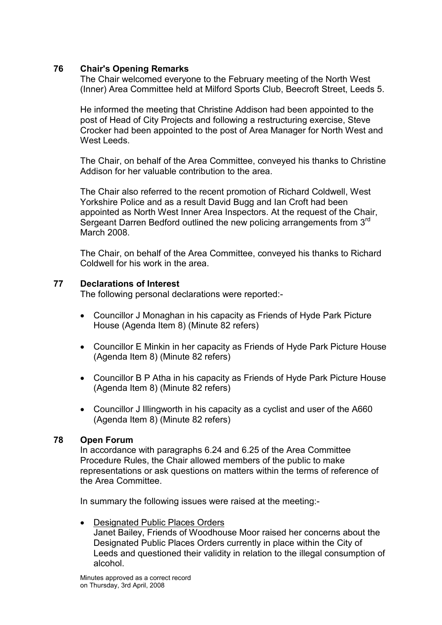## 76 Chair's Opening Remarks

The Chair welcomed everyone to the February meeting of the North West (Inner) Area Committee held at Milford Sports Club, Beecroft Street, Leeds 5.

He informed the meeting that Christine Addison had been appointed to the post of Head of City Projects and following a restructuring exercise, Steve Crocker had been appointed to the post of Area Manager for North West and West Leeds.

The Chair, on behalf of the Area Committee, conveyed his thanks to Christine Addison for her valuable contribution to the area.

The Chair also referred to the recent promotion of Richard Coldwell, West Yorkshire Police and as a result David Bugg and Ian Croft had been appointed as North West Inner Area Inspectors. At the request of the Chair, Sergeant Darren Bedford outlined the new policing arrangements from 3rd March 2008.

The Chair, on behalf of the Area Committee, conveyed his thanks to Richard Coldwell for his work in the area.

### 77 Declarations of Interest

The following personal declarations were reported:-

- Councillor J Monaghan in his capacity as Friends of Hyde Park Picture House (Agenda Item 8) (Minute 82 refers)
- Councillor E Minkin in her capacity as Friends of Hyde Park Picture House (Agenda Item 8) (Minute 82 refers)
- Councillor B P Atha in his capacity as Friends of Hyde Park Picture House (Agenda Item 8) (Minute 82 refers)
- Councillor J Illingworth in his capacity as a cyclist and user of the A660 (Agenda Item 8) (Minute 82 refers)

### 78 Open Forum

In accordance with paragraphs 6.24 and 6.25 of the Area Committee Procedure Rules, the Chair allowed members of the public to make representations or ask questions on matters within the terms of reference of the Area Committee.

In summary the following issues were raised at the meeting:-

• Designated Public Places Orders Janet Bailey, Friends of Woodhouse Moor raised her concerns about the Designated Public Places Orders currently in place within the City of Leeds and questioned their validity in relation to the illegal consumption of alcohol.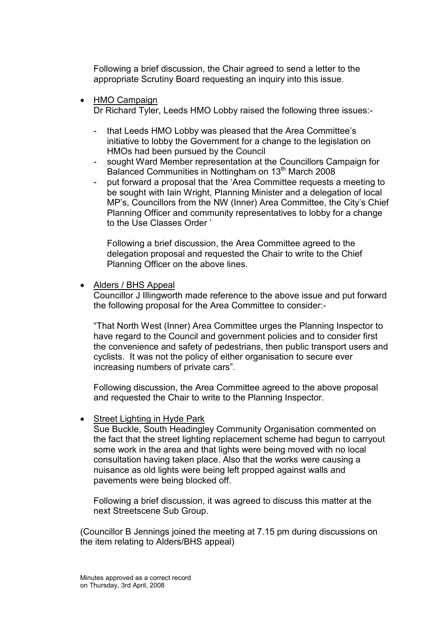Following a brief discussion, the Chair agreed to send a letter to the appropriate Scrutiny Board requesting an inquiry into this issue.

• HMO Campaign

Dr Richard Tyler, Leeds HMO Lobby raised the following three issues:-

- that Leeds HMO Lobby was pleased that the Area Committee's initiative to lobby the Government for a change to the legislation on HMOs had been pursued by the Council
- sought Ward Member representation at the Councillors Campaign for Balanced Communities in Nottingham on 13<sup>th</sup> March 2008
- put forward a proposal that the 'Area Committee requests a meeting to be sought with Iain Wright, Planning Minister and a delegation of local MP's, Councillors from the NW (Inner) Area Committee, the City's Chief Planning Officer and community representatives to lobby for a change to the Use Classes Order '

Following a brief discussion, the Area Committee agreed to the delegation proposal and requested the Chair to write to the Chief Planning Officer on the above lines.

• Alders / BHS Appeal

Councillor J Illingworth made reference to the above issue and put forward the following proposal for the Area Committee to consider:-

"That North West (Inner) Area Committee urges the Planning Inspector to have regard to the Council and government policies and to consider first the convenience and safety of pedestrians, then public transport users and cyclists. It was not the policy of either organisation to secure ever increasing numbers of private cars".

Following discussion, the Area Committee agreed to the above proposal and requested the Chair to write to the Planning Inspector.

Street Lighting in Hyde Park

Sue Buckle, South Headingley Community Organisation commented on the fact that the street lighting replacement scheme had begun to carryout some work in the area and that lights were being moved with no local consultation having taken place. Also that the works were causing a nuisance as old lights were being left propped against walls and pavements were being blocked off.

Following a brief discussion, it was agreed to discuss this matter at the next Streetscene Sub Group.

(Councillor B Jennings joined the meeting at 7.15 pm during discussions on the item relating to Alders/BHS appeal)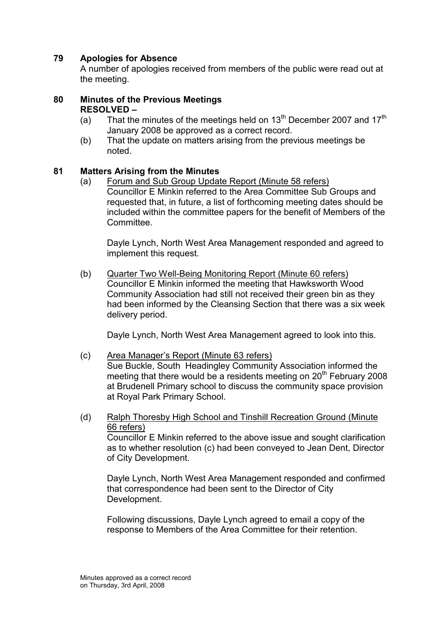# 79 Apologies for Absence

A number of apologies received from members of the public were read out at the meeting.

#### 80 Minutes of the Previous Meetings RESOLVED –

- (a) That the minutes of the meetings held on  $13<sup>th</sup>$  December 2007 and  $17<sup>th</sup>$ January 2008 be approved as a correct record.
- (b) That the update on matters arising from the previous meetings be noted.

### 81 Matters Arising from the Minutes

(a) Forum and Sub Group Update Report (Minute 58 refers) Councillor E Minkin referred to the Area Committee Sub Groups and requested that, in future, a list of forthcoming meeting dates should be included within the committee papers for the benefit of Members of the Committee.

 Dayle Lynch, North West Area Management responded and agreed to implement this request.

(b) Quarter Two Well-Being Monitoring Report (Minute 60 refers) Councillor E Minkin informed the meeting that Hawksworth Wood Community Association had still not received their green bin as they had been informed by the Cleansing Section that there was a six week delivery period.

Dayle Lynch, North West Area Management agreed to look into this.

#### (c) Area Manager's Report (Minute 63 refers)

 Sue Buckle, South Headingley Community Association informed the meeting that there would be a residents meeting on  $20<sup>th</sup>$  February 2008 at Brudenell Primary school to discuss the community space provision at Royal Park Primary School.

(d) Ralph Thoresby High School and Tinshill Recreation Ground (Minute 66 refers)

 Councillor E Minkin referred to the above issue and sought clarification as to whether resolution (c) had been conveyed to Jean Dent, Director of City Development.

 Dayle Lynch, North West Area Management responded and confirmed that correspondence had been sent to the Director of City Development.

 Following discussions, Dayle Lynch agreed to email a copy of the response to Members of the Area Committee for their retention.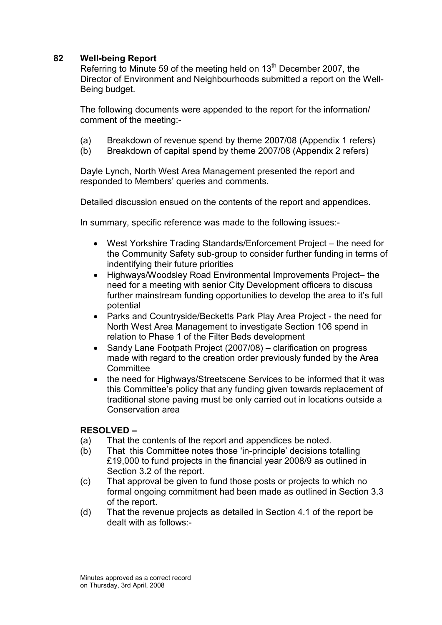# 82 Well-being Report

Referring to Minute 59 of the meeting held on 13<sup>th</sup> December 2007, the Director of Environment and Neighbourhoods submitted a report on the Well-Being budget.

The following documents were appended to the report for the information/ comment of the meeting:-

- (a) Breakdown of revenue spend by theme 2007/08 (Appendix 1 refers)
- (b) Breakdown of capital spend by theme 2007/08 (Appendix 2 refers)

Dayle Lynch, North West Area Management presented the report and responded to Members' queries and comments.

Detailed discussion ensued on the contents of the report and appendices.

In summary, specific reference was made to the following issues:-

- West Yorkshire Trading Standards/Enforcement Project the need for the Community Safety sub-group to consider further funding in terms of indentifying their future priorities
- Highways/Woodsley Road Environmental Improvements Project– the need for a meeting with senior City Development officers to discuss further mainstream funding opportunities to develop the area to it's full potential
- Parks and Countryside/Becketts Park Play Area Project the need for North West Area Management to investigate Section 106 spend in relation to Phase 1 of the Filter Beds development
- Sandy Lane Footpath Project (2007/08) clarification on progress made with regard to the creation order previously funded by the Area **Committee**
- the need for Highways/Streetscene Services to be informed that it was this Committee's policy that any funding given towards replacement of traditional stone paving must be only carried out in locations outside a Conservation area

### RESOLVED –

- (a) That the contents of the report and appendices be noted.
- (b) That this Committee notes those 'in-principle' decisions totalling £19,000 to fund projects in the financial year 2008/9 as outlined in Section 3.2 of the report.
- (c) That approval be given to fund those posts or projects to which no formal ongoing commitment had been made as outlined in Section 3.3 of the report.
- (d) That the revenue projects as detailed in Section 4.1 of the report be dealt with as follows:-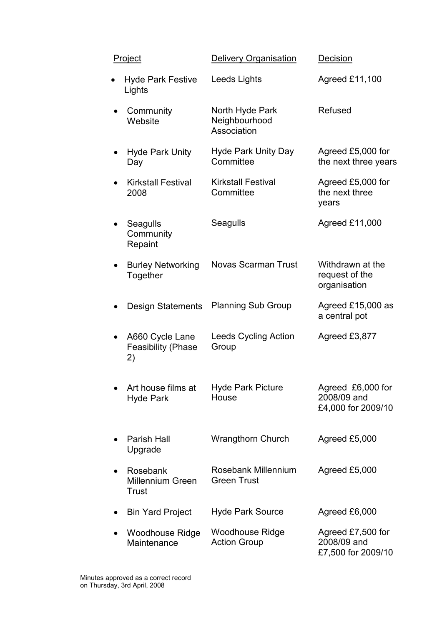| <b>Project</b> |                                                    | <b>Delivery Organisation</b>                    | Decision                                               |
|----------------|----------------------------------------------------|-------------------------------------------------|--------------------------------------------------------|
|                | <b>Hyde Park Festive</b><br>Lights                 | Leeds Lights                                    | Agreed £11,100                                         |
|                | Community<br>Website                               | North Hyde Park<br>Neighbourhood<br>Association | Refused                                                |
|                | <b>Hyde Park Unity</b><br>Day                      | <b>Hyde Park Unity Day</b><br>Committee         | Agreed £5,000 for<br>the next three years              |
|                | <b>Kirkstall Festival</b><br>2008                  | <b>Kirkstall Festival</b><br>Committee          | Agreed £5,000 for<br>the next three<br>years           |
|                | Seagulls<br>Community<br>Repaint                   | Seagulls                                        | Agreed £11,000                                         |
|                | <b>Burley Networking</b><br>Together               | <b>Novas Scarman Trust</b>                      | Withdrawn at the<br>request of the<br>organisation     |
|                | <b>Design Statements</b>                           | <b>Planning Sub Group</b>                       | Agreed £15,000 as<br>a central pot                     |
|                | A660 Cycle Lane<br><b>Feasibility (Phase</b><br>2) | Leeds Cycling Action<br>Group                   | Agreed £3,877                                          |
|                | Art house films at<br><b>Hyde Park</b>             | <b>Hyde Park Picture</b><br>House               | Agreed £6,000 for<br>2008/09 and<br>£4,000 for 2009/10 |
|                | <b>Parish Hall</b><br>Upgrade                      | <b>Wrangthorn Church</b>                        | Agreed £5,000                                          |
|                | Rosebank<br><b>Millennium Green</b><br>Trust       | Rosebank Millennium<br><b>Green Trust</b>       | Agreed £5,000                                          |
|                | <b>Bin Yard Project</b>                            | <b>Hyde Park Source</b>                         | Agreed £6,000                                          |
|                | <b>Woodhouse Ridge</b><br>Maintenance              | <b>Woodhouse Ridge</b><br><b>Action Group</b>   | Agreed £7,500 for<br>2008/09 and<br>£7,500 for 2009/10 |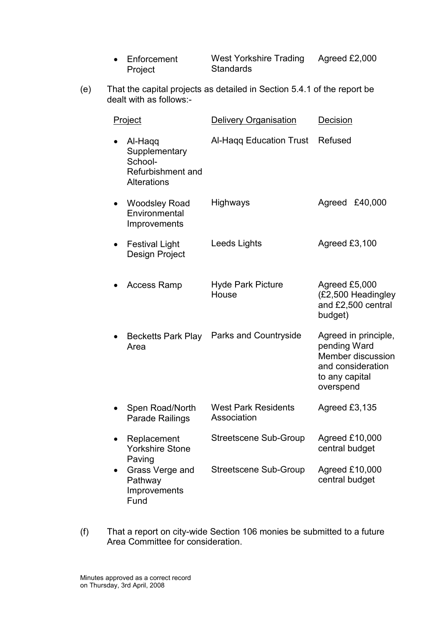| • Enforcement | West Yorkshire Trading | Agreed £2,000 |
|---------------|------------------------|---------------|
| Project       | Standards              |               |

(e) That the capital projects as detailed in Section 5.4.1 of the report be dealt with as follows:-

| Project |                                                                                | <b>Delivery Organisation</b>              | Decision                                                                                                      |
|---------|--------------------------------------------------------------------------------|-------------------------------------------|---------------------------------------------------------------------------------------------------------------|
|         | Al-Haqq<br>Supplementary<br>School-<br>Refurbishment and<br><b>Alterations</b> | Al-Hagg Education Trust                   | Refused                                                                                                       |
|         | <b>Woodsley Road</b><br>Environmental<br>Improvements                          | Highways                                  | £40,000<br>Agreed                                                                                             |
|         | <b>Festival Light</b><br><b>Design Project</b>                                 | Leeds Lights                              | Agreed $£3,100$                                                                                               |
|         | <b>Access Ramp</b>                                                             | <b>Hyde Park Picture</b><br>House         | Agreed £5,000<br>(£2,500 Headingley<br>and £2,500 central<br>budget)                                          |
|         | <b>Becketts Park Play</b><br>Area                                              | Parks and Countryside                     | Agreed in principle,<br>pending Ward<br>Member discussion<br>and consideration<br>to any capital<br>overspend |
|         | Spen Road/North<br><b>Parade Railings</b>                                      | <b>West Park Residents</b><br>Association | Agreed £3,135                                                                                                 |
|         | Replacement<br>Yorkshire Stone<br>Paving                                       | Streetscene Sub-Group                     | Agreed £10,000<br>central budget                                                                              |
|         | Grass Verge and<br>Pathway<br>Improvements<br>Fund                             | <b>Streetscene Sub-Group</b>              | Agreed £10,000<br>central budget                                                                              |

(f) That a report on city-wide Section 106 monies be submitted to a future Area Committee for consideration.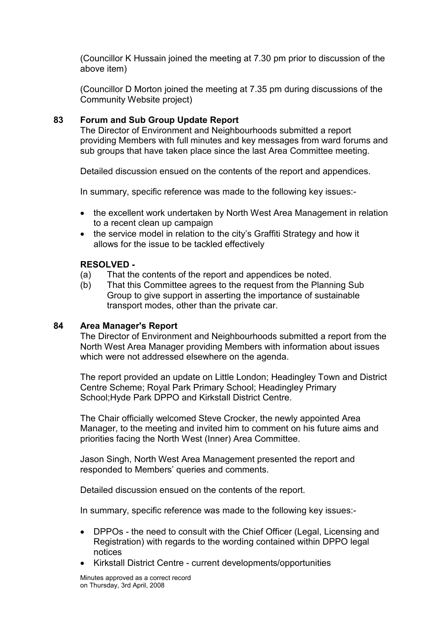(Councillor K Hussain joined the meeting at 7.30 pm prior to discussion of the above item)

(Councillor D Morton joined the meeting at 7.35 pm during discussions of the Community Website project)

## 83 Forum and Sub Group Update Report

The Director of Environment and Neighbourhoods submitted a report providing Members with full minutes and key messages from ward forums and sub groups that have taken place since the last Area Committee meeting.

Detailed discussion ensued on the contents of the report and appendices.

In summary, specific reference was made to the following key issues:-

- the excellent work undertaken by North West Area Management in relation to a recent clean up campaign
- the service model in relation to the city's Graffiti Strategy and how it allows for the issue to be tackled effectively

### RESOLVED -

- (a) That the contents of the report and appendices be noted.
- (b) That this Committee agrees to the request from the Planning Sub Group to give support in asserting the importance of sustainable transport modes, other than the private car.

#### 84 Area Manager's Report

The Director of Environment and Neighbourhoods submitted a report from the North West Area Manager providing Members with information about issues which were not addressed elsewhere on the agenda.

The report provided an update on Little London; Headingley Town and District Centre Scheme; Royal Park Primary School; Headingley Primary School;Hyde Park DPPO and Kirkstall District Centre.

The Chair officially welcomed Steve Crocker, the newly appointed Area Manager, to the meeting and invited him to comment on his future aims and priorities facing the North West (Inner) Area Committee.

Jason Singh, North West Area Management presented the report and responded to Members' queries and comments.

Detailed discussion ensued on the contents of the report.

In summary, specific reference was made to the following key issues:-

- DPPOs the need to consult with the Chief Officer (Legal, Licensing and Registration) with regards to the wording contained within DPPO legal notices
- Kirkstall District Centre current developments/opportunities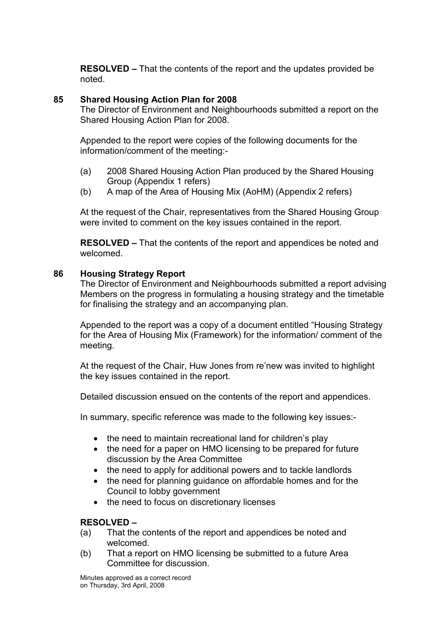RESOLVED – That the contents of the report and the updates provided be noted.

## 85 Shared Housing Action Plan for 2008

The Director of Environment and Neighbourhoods submitted a report on the Shared Housing Action Plan for 2008.

Appended to the report were copies of the following documents for the information/comment of the meeting:-

- (a) 2008 Shared Housing Action Plan produced by the Shared Housing Group (Appendix 1 refers)
- (b) A map of the Area of Housing Mix (AoHM) (Appendix 2 refers)

At the request of the Chair, representatives from the Shared Housing Group were invited to comment on the key issues contained in the report.

RESOLVED – That the contents of the report and appendices be noted and welcomed.

#### 86 Housing Strategy Report

The Director of Environment and Neighbourhoods submitted a report advising Members on the progress in formulating a housing strategy and the timetable for finalising the strategy and an accompanying plan.

Appended to the report was a copy of a document entitled "Housing Strategy for the Area of Housing Mix (Framework) for the information/ comment of the meeting.

At the request of the Chair, Huw Jones from re'new was invited to highlight the key issues contained in the report.

Detailed discussion ensued on the contents of the report and appendices.

In summary, specific reference was made to the following key issues:-

- the need to maintain recreational land for children's play
- the need for a paper on HMO licensing to be prepared for future discussion by the Area Committee
- the need to apply for additional powers and to tackle landlords
- the need for planning guidance on affordable homes and for the Council to lobby government
- the need to focus on discretionary licenses

### RESOLVED –

- (a) That the contents of the report and appendices be noted and welcomed.
- (b) That a report on HMO licensing be submitted to a future Area Committee for discussion.

Minutes approved as a correct record on Thursday, 3rd April, 2008